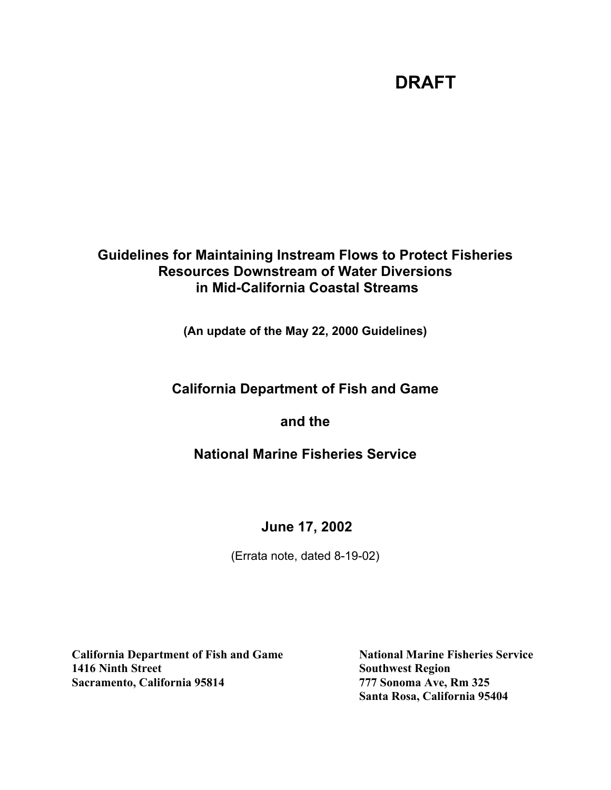# **Guidelines for Maintaining Instream Flows to Protect Fisheries Resources Downstream of Water Diversions in Mid-California Coastal Streams**

**(An update of the May 22, 2000 Guidelines)**

# **California Department of Fish and Game**

**and the**

# **National Marine Fisheries Service**

## **June 17, 2002**

(Errata note, dated 8-19-02)

**California Department of Fish and Game National Marine Fisheries Service 1416 Ninth Street Southwest Region Sacramento, California 95814 777 Sonoma Ave, Rm 325**

**Santa Rosa, California 95404**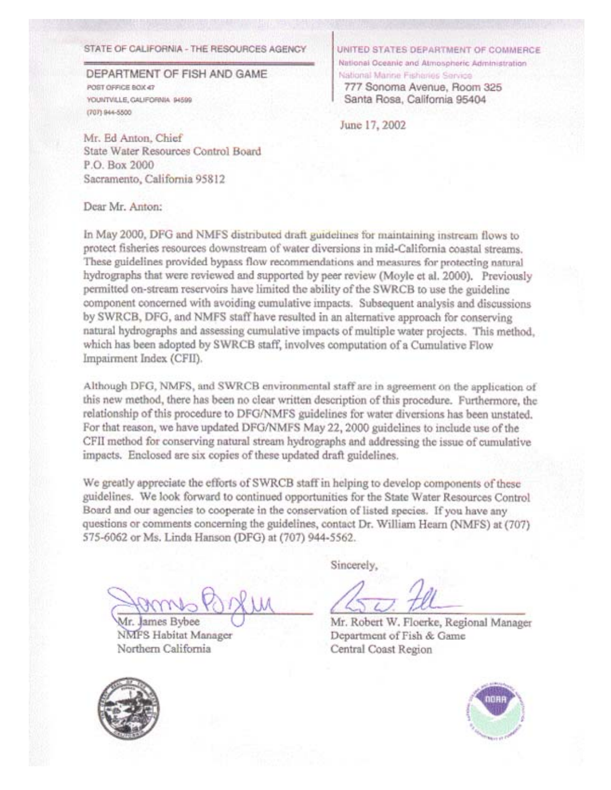#### STATE OF CALIFORNIA - THE RESOURCES AGENCY

DEPARTMENT OF FISH AND GAME POST OFFICE BOX 47 YOUNTVILLE, GALIFORNIA 94599 (707) 944-5500

UNITED STATES DEPARTMENT OF COMMERCE National Oceanic and Atmospheric Administration National Marine Fisharies Service 777 Sonoma Avenue, Room 325 Santa Rosa, California 95404

June 17, 2002

Mr. Ed Anton, Chief State Water Resources Control Board P.O. Box 2000 Sacramento, California 95812

Dear Mr. Anton:

In May 2000, DFG and NMFS distributed draft guidelines for maintaining instream flows to protect fisheries resources downstream of water diversions in mid-California coastal streams. These guidelines provided bypass flow recommendations and measures for protecting natural hydrographs that were reviewed and supported by peer review (Moyle et al. 2000). Previously permitted on-stream reservoirs have limited the ability of the SWRCB to use the guideline component concerned with avoiding cumulative impacts. Subsequent analysis and discussions by SWRCB, DFG, and NMFS staff have resulted in an alternative approach for conserving natural hydrographs and assessing cumulative impacts of multiple water projects. This method, which has been adopted by SWRCB staff, involves computation of a Cumulative Flow Impairment Index (CFII).

Although DFG, NMFS, and SWRCB environmental staff are in agreement on the application of this new method, there has been no clear written description of this procedure. Furthermore, the relationship of this procedure to DFG/NMFS guidelines for water diversions has been unstated. For that reason, we have updated DFG/NMFS May 22, 2000 guidelines to include use of the CFII method for conserving natural stream hydrographs and addressing the issue of cumulative impacts. Enclosed are six copies of these updated draft guidelines.

We greatly appreciate the efforts of SWRCB staff in helping to develop components of these guidelines. We look forward to continued opportunities for the State Water Resources Control Board and our agencies to cooperate in the conservation of listed species. If you have any questions or comments concerning the guidelines, contact Dr. William Hearn (NMFS) at (707) 575-6062 or Ms. Linda Hanson (DFG) at (707) 944-5562.

James Bybee Иr. **NMFS Habitat Manager** Northern California

Sincerely,

Mr. Robert W. Floerke, Regional Manager Department of Fish & Game Central Coast Region



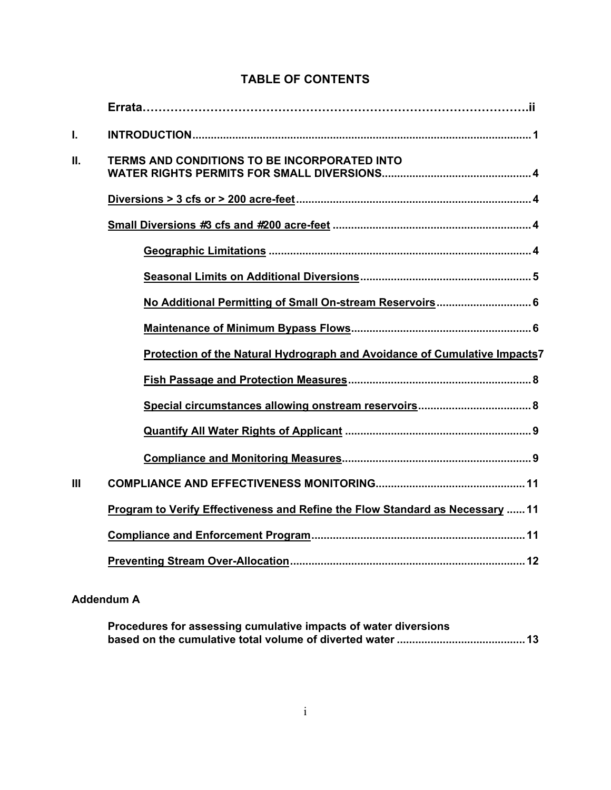| I.             |                                                                               |
|----------------|-------------------------------------------------------------------------------|
| II.            | <b>TERMS AND CONDITIONS TO BE INCORPORATED INTO</b>                           |
|                |                                                                               |
|                |                                                                               |
|                |                                                                               |
|                |                                                                               |
|                | No Additional Permitting of Small On-stream Reservoirs 6                      |
|                |                                                                               |
|                | Protection of the Natural Hydrograph and Avoidance of Cumulative Impacts7     |
|                |                                                                               |
|                |                                                                               |
|                |                                                                               |
|                |                                                                               |
| $\mathbf{III}$ |                                                                               |
|                | Program to Verify Effectiveness and Refine the Flow Standard as Necessary  11 |
|                |                                                                               |
|                |                                                                               |

# **TABLE OF CONTENTS**

### **Addendum A**

| Procedures for assessing cumulative impacts of water diversions |  |
|-----------------------------------------------------------------|--|
|                                                                 |  |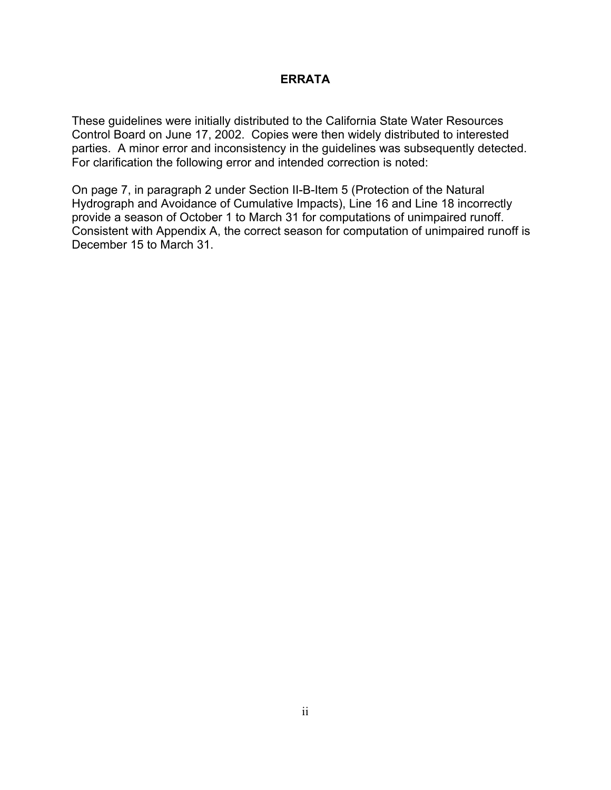### **ERRATA**

These guidelines were initially distributed to the California State Water Resources Control Board on June 17, 2002. Copies were then widely distributed to interested parties. A minor error and inconsistency in the guidelines was subsequently detected. For clarification the following error and intended correction is noted:

On page 7, in paragraph 2 under Section II-B-Item 5 (Protection of the Natural Hydrograph and Avoidance of Cumulative Impacts), Line 16 and Line 18 incorrectly provide a season of October 1 to March 31 for computations of unimpaired runoff. Consistent with Appendix A, the correct season for computation of unimpaired runoff is December 15 to March 31.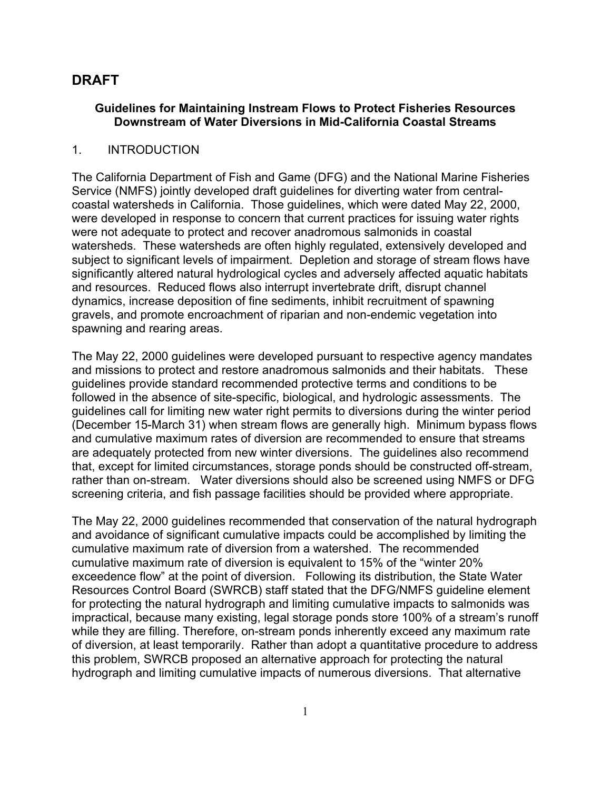### **Guidelines for Maintaining Instream Flows to Protect Fisheries Resources Downstream of Water Diversions in Mid-California Coastal Streams**

### 1. INTRODUCTION

The California Department of Fish and Game (DFG) and the National Marine Fisheries Service (NMFS) jointly developed draft guidelines for diverting water from centralcoastal watersheds in California. Those guidelines, which were dated May 22, 2000, were developed in response to concern that current practices for issuing water rights were not adequate to protect and recover anadromous salmonids in coastal watersheds. These watersheds are often highly regulated, extensively developed and subject to significant levels of impairment. Depletion and storage of stream flows have significantly altered natural hydrological cycles and adversely affected aquatic habitats and resources. Reduced flows also interrupt invertebrate drift, disrupt channel dynamics, increase deposition of fine sediments, inhibit recruitment of spawning gravels, and promote encroachment of riparian and non-endemic vegetation into spawning and rearing areas.

The May 22, 2000 guidelines were developed pursuant to respective agency mandates and missions to protect and restore anadromous salmonids and their habitats. These guidelines provide standard recommended protective terms and conditions to be followed in the absence of site-specific, biological, and hydrologic assessments. The guidelines call for limiting new water right permits to diversions during the winter period (December 15-March 31) when stream flows are generally high. Minimum bypass flows and cumulative maximum rates of diversion are recommended to ensure that streams are adequately protected from new winter diversions. The guidelines also recommend that, except for limited circumstances, storage ponds should be constructed off-stream, rather than on-stream. Water diversions should also be screened using NMFS or DFG screening criteria, and fish passage facilities should be provided where appropriate.

The May 22, 2000 guidelines recommended that conservation of the natural hydrograph and avoidance of significant cumulative impacts could be accomplished by limiting the cumulative maximum rate of diversion from a watershed. The recommended cumulative maximum rate of diversion is equivalent to 15% of the "winter 20% exceedence flow" at the point of diversion. Following its distribution, the State Water Resources Control Board (SWRCB) staff stated that the DFG/NMFS guideline element for protecting the natural hydrograph and limiting cumulative impacts to salmonids was impractical, because many existing, legal storage ponds store 100% of a stream's runoff while they are filling. Therefore, on-stream ponds inherently exceed any maximum rate of diversion, at least temporarily. Rather than adopt a quantitative procedure to address this problem, SWRCB proposed an alternative approach for protecting the natural hydrograph and limiting cumulative impacts of numerous diversions. That alternative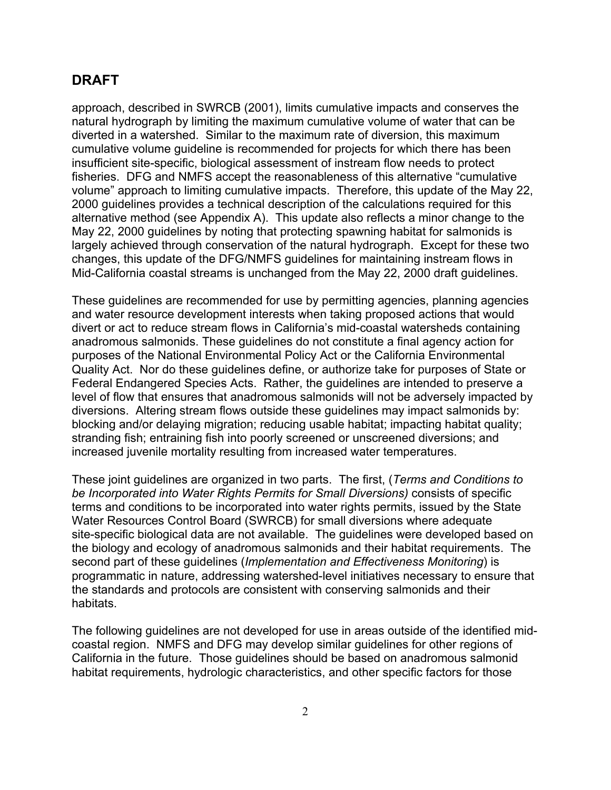approach, described in SWRCB (2001), limits cumulative impacts and conserves the natural hydrograph by limiting the maximum cumulative volume of water that can be diverted in a watershed. Similar to the maximum rate of diversion, this maximum cumulative volume guideline is recommended for projects for which there has been insufficient site-specific, biological assessment of instream flow needs to protect fisheries. DFG and NMFS accept the reasonableness of this alternative "cumulative volume" approach to limiting cumulative impacts. Therefore, this update of the May 22, 2000 guidelines provides a technical description of the calculations required for this alternative method (see Appendix A). This update also reflects a minor change to the May 22, 2000 guidelines by noting that protecting spawning habitat for salmonids is largely achieved through conservation of the natural hydrograph. Except for these two changes, this update of the DFG/NMFS guidelines for maintaining instream flows in Mid-California coastal streams is unchanged from the May 22, 2000 draft guidelines.

These guidelines are recommended for use by permitting agencies, planning agencies and water resource development interests when taking proposed actions that would divert or act to reduce stream flows in California's mid-coastal watersheds containing anadromous salmonids. These guidelines do not constitute a final agency action for purposes of the National Environmental Policy Act or the California Environmental Quality Act. Nor do these guidelines define, or authorize take for purposes of State or Federal Endangered Species Acts. Rather, the guidelines are intended to preserve a level of flow that ensures that anadromous salmonids will not be adversely impacted by diversions. Altering stream flows outside these guidelines may impact salmonids by: blocking and/or delaying migration; reducing usable habitat; impacting habitat quality; stranding fish; entraining fish into poorly screened or unscreened diversions; and increased juvenile mortality resulting from increased water temperatures.

These joint guidelines are organized in two parts. The first, (*Terms and Conditions to be Incorporated into Water Rights Permits for Small Diversions)* consists of specific terms and conditions to be incorporated into water rights permits, issued by the State Water Resources Control Board (SWRCB) for small diversions where adequate site-specific biological data are not available. The guidelines were developed based on the biology and ecology of anadromous salmonids and their habitat requirements. The second part of these guidelines (*Implementation and Effectiveness Monitoring*) is programmatic in nature, addressing watershed-level initiatives necessary to ensure that the standards and protocols are consistent with conserving salmonids and their habitats.

The following guidelines are not developed for use in areas outside of the identified midcoastal region. NMFS and DFG may develop similar guidelines for other regions of California in the future. Those guidelines should be based on anadromous salmonid habitat requirements, hydrologic characteristics, and other specific factors for those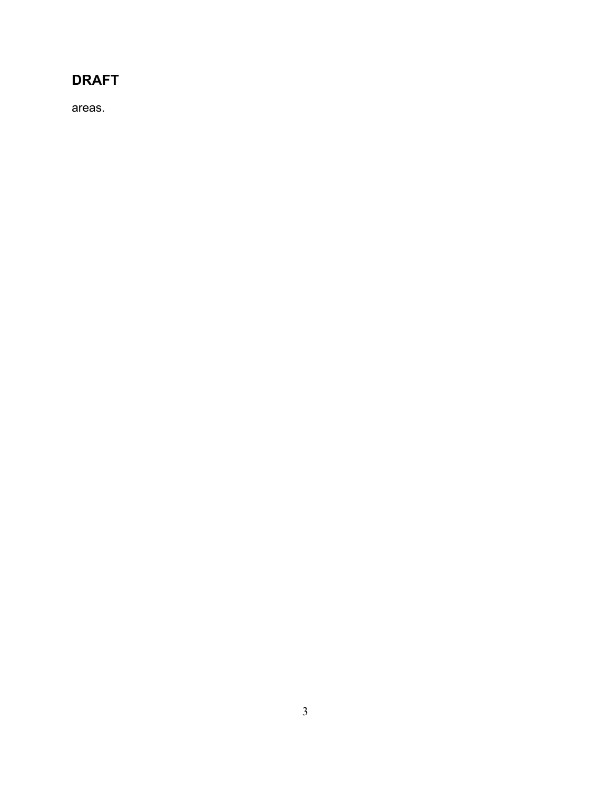areas.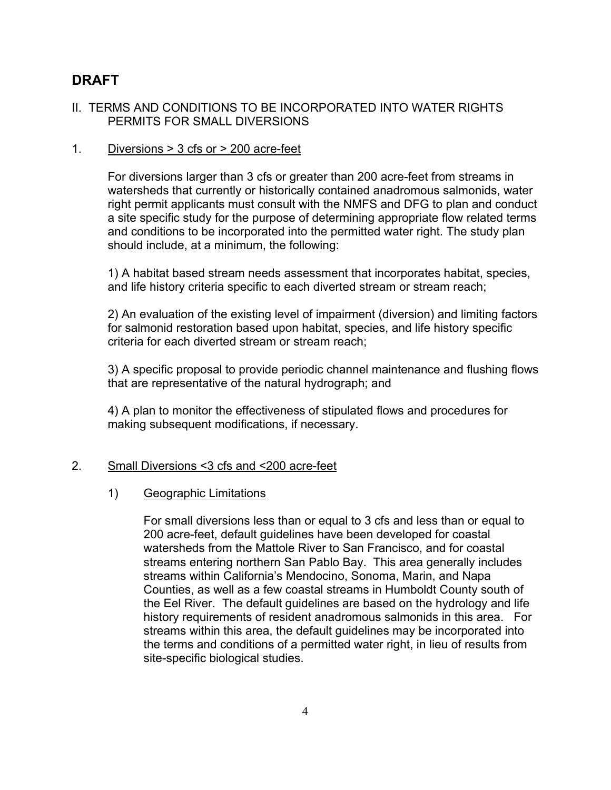### II. TERMS AND CONDITIONS TO BE INCORPORATED INTO WATER RIGHTS PERMITS FOR SMALL DIVERSIONS

#### 1. Diversions > 3 cfs or > 200 acre-feet

For diversions larger than 3 cfs or greater than 200 acre-feet from streams in watersheds that currently or historically contained anadromous salmonids, water right permit applicants must consult with the NMFS and DFG to plan and conduct a site specific study for the purpose of determining appropriate flow related terms and conditions to be incorporated into the permitted water right. The study plan should include, at a minimum, the following:

1) A habitat based stream needs assessment that incorporates habitat, species, and life history criteria specific to each diverted stream or stream reach;

2) An evaluation of the existing level of impairment (diversion) and limiting factors for salmonid restoration based upon habitat, species, and life history specific criteria for each diverted stream or stream reach;

3) A specific proposal to provide periodic channel maintenance and flushing flows that are representative of the natural hydrograph; and

4) A plan to monitor the effectiveness of stipulated flows and procedures for making subsequent modifications, if necessary.

#### 2. Small Diversions <3 cfs and <200 acre-feet

#### 1) Geographic Limitations

For small diversions less than or equal to 3 cfs and less than or equal to 200 acre-feet, default guidelines have been developed for coastal watersheds from the Mattole River to San Francisco, and for coastal streams entering northern San Pablo Bay. This area generally includes streams within California's Mendocino, Sonoma, Marin, and Napa Counties, as well as a few coastal streams in Humboldt County south of the Eel River. The default guidelines are based on the hydrology and life history requirements of resident anadromous salmonids in this area. For streams within this area, the default guidelines may be incorporated into the terms and conditions of a permitted water right, in lieu of results from site-specific biological studies.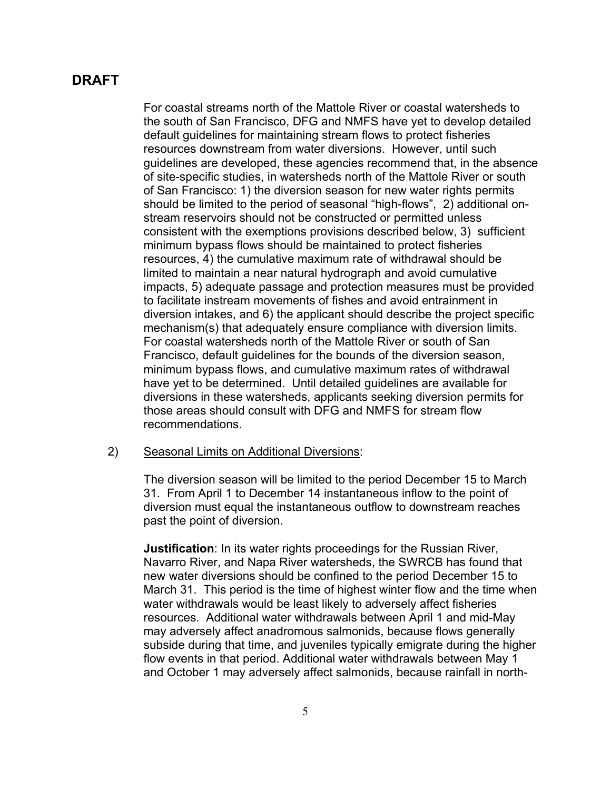For coastal streams north of the Mattole River or coastal watersheds to the south of San Francisco, DFG and NMFS have yet to develop detailed default guidelines for maintaining stream flows to protect fisheries resources downstream from water diversions. However, until such guidelines are developed, these agencies recommend that, in the absence of site-specific studies, in watersheds north of the Mattole River or south of San Francisco: 1) the diversion season for new water rights permits should be limited to the period of seasonal "high-flows", 2) additional onstream reservoirs should not be constructed or permitted unless consistent with the exemptions provisions described below, 3) sufficient minimum bypass flows should be maintained to protect fisheries resources, 4) the cumulative maximum rate of withdrawal should be limited to maintain a near natural hydrograph and avoid cumulative impacts, 5) adequate passage and protection measures must be provided to facilitate instream movements of fishes and avoid entrainment in diversion intakes, and 6) the applicant should describe the project specific mechanism(s) that adequately ensure compliance with diversion limits. For coastal watersheds north of the Mattole River or south of San Francisco, default guidelines for the bounds of the diversion season, minimum bypass flows, and cumulative maximum rates of withdrawal have yet to be determined. Until detailed guidelines are available for diversions in these watersheds, applicants seeking diversion permits for those areas should consult with DFG and NMFS for stream flow recommendations.

#### 2) Seasonal Limits on Additional Diversions:

The diversion season will be limited to the period December 15 to March 31. From April 1 to December 14 instantaneous inflow to the point of diversion must equal the instantaneous outflow to downstream reaches past the point of diversion.

**Justification**: In its water rights proceedings for the Russian River, Navarro River, and Napa River watersheds, the SWRCB has found that new water diversions should be confined to the period December 15 to March 31. This period is the time of highest winter flow and the time when water withdrawals would be least likely to adversely affect fisheries resources. Additional water withdrawals between April 1 and mid-May may adversely affect anadromous salmonids, because flows generally subside during that time, and juveniles typically emigrate during the higher flow events in that period. Additional water withdrawals between May 1 and October 1 may adversely affect salmonids, because rainfall in north-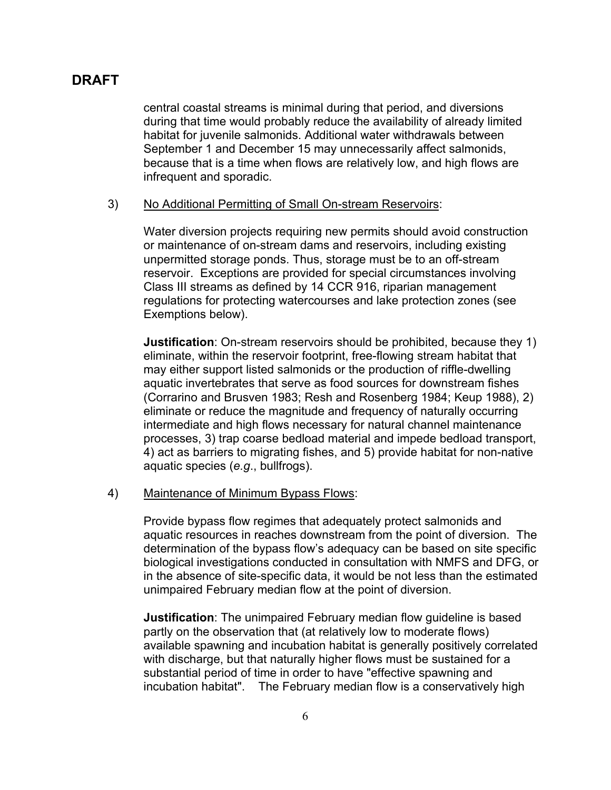central coastal streams is minimal during that period, and diversions during that time would probably reduce the availability of already limited habitat for juvenile salmonids. Additional water withdrawals between September 1 and December 15 may unnecessarily affect salmonids, because that is a time when flows are relatively low, and high flows are infrequent and sporadic.

#### 3) No Additional Permitting of Small On-stream Reservoirs:

Water diversion projects requiring new permits should avoid construction or maintenance of on-stream dams and reservoirs, including existing unpermitted storage ponds. Thus, storage must be to an off-stream reservoir. Exceptions are provided for special circumstances involving Class III streams as defined by 14 CCR 916, riparian management regulations for protecting watercourses and lake protection zones (see Exemptions below).

**Justification**: On-stream reservoirs should be prohibited, because they 1) eliminate, within the reservoir footprint, free-flowing stream habitat that may either support listed salmonids or the production of riffle-dwelling aquatic invertebrates that serve as food sources for downstream fishes (Corrarino and Brusven 1983; Resh and Rosenberg 1984; Keup 1988), 2) eliminate or reduce the magnitude and frequency of naturally occurring intermediate and high flows necessary for natural channel maintenance processes, 3) trap coarse bedload material and impede bedload transport, 4) act as barriers to migrating fishes, and 5) provide habitat for non-native aquatic species (*e.g*., bullfrogs).

#### 4) Maintenance of Minimum Bypass Flows:

Provide bypass flow regimes that adequately protect salmonids and aquatic resources in reaches downstream from the point of diversion. The determination of the bypass flow's adequacy can be based on site specific biological investigations conducted in consultation with NMFS and DFG, or in the absence of site-specific data, it would be not less than the estimated unimpaired February median flow at the point of diversion.

**Justification**: The unimpaired February median flow guideline is based partly on the observation that (at relatively low to moderate flows) available spawning and incubation habitat is generally positively correlated with discharge, but that naturally higher flows must be sustained for a substantial period of time in order to have "effective spawning and incubation habitat". The February median flow is a conservatively high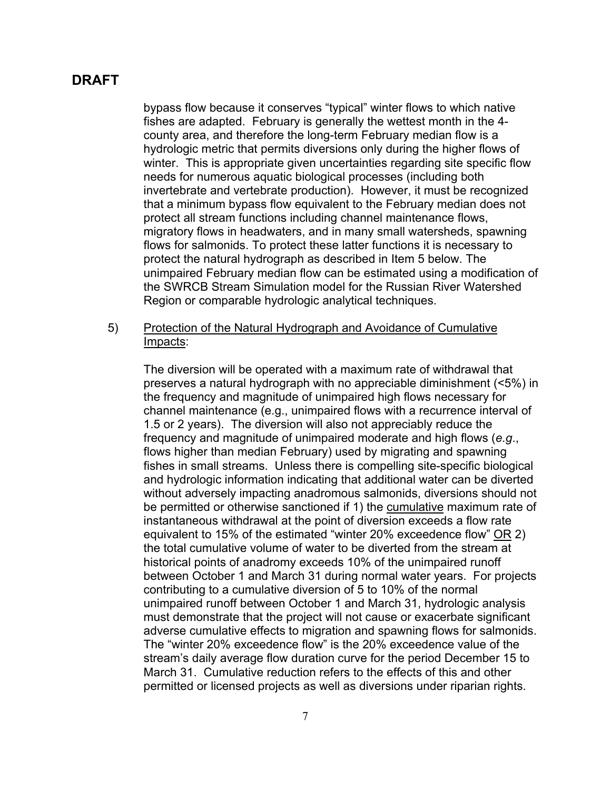bypass flow because it conserves "typical" winter flows to which native fishes are adapted. February is generally the wettest month in the 4 county area, and therefore the long-term February median flow is a hydrologic metric that permits diversions only during the higher flows of winter. This is appropriate given uncertainties regarding site specific flow needs for numerous aquatic biological processes (including both invertebrate and vertebrate production). However, it must be recognized that a minimum bypass flow equivalent to the February median does not protect all stream functions including channel maintenance flows, migratory flows in headwaters, and in many small watersheds, spawning flows for salmonids. To protect these latter functions it is necessary to protect the natural hydrograph as described in Item 5 below. The unimpaired February median flow can be estimated using a modification of the SWRCB Stream Simulation model for the Russian River Watershed Region or comparable hydrologic analytical techniques.

5) Protection of the Natural Hydrograph and Avoidance of Cumulative Impacts:

The diversion will be operated with a maximum rate of withdrawal that preserves a natural hydrograph with no appreciable diminishment (<5%) in the frequency and magnitude of unimpaired high flows necessary for channel maintenance (e.g., unimpaired flows with a recurrence interval of 1.5 or 2 years). The diversion will also not appreciably reduce the frequency and magnitude of unimpaired moderate and high flows (*e.g*., flows higher than median February) used by migrating and spawning fishes in small streams. Unless there is compelling site-specific biological and hydrologic information indicating that additional water can be diverted without adversely impacting anadromous salmonids, diversions should not be permitted or otherwise sanctioned if 1) the cumulative maximum rate of instantaneous withdrawal at the point of diversion exceeds a flow rate equivalent to 15% of the estimated "winter 20% exceedence flow" OR 2) the total cumulative volume of water to be diverted from the stream at historical points of anadromy exceeds 10% of the unimpaired runoff between October 1 and March 31 during normal water years. For projects contributing to a cumulative diversion of 5 to 10% of the normal unimpaired runoff between October 1 and March 31, hydrologic analysis must demonstrate that the project will not cause or exacerbate significant adverse cumulative effects to migration and spawning flows for salmonids. The "winter 20% exceedence flow" is the 20% exceedence value of the stream's daily average flow duration curve for the period December 15 to March 31. Cumulative reduction refers to the effects of this and other permitted or licensed projects as well as diversions under riparian rights.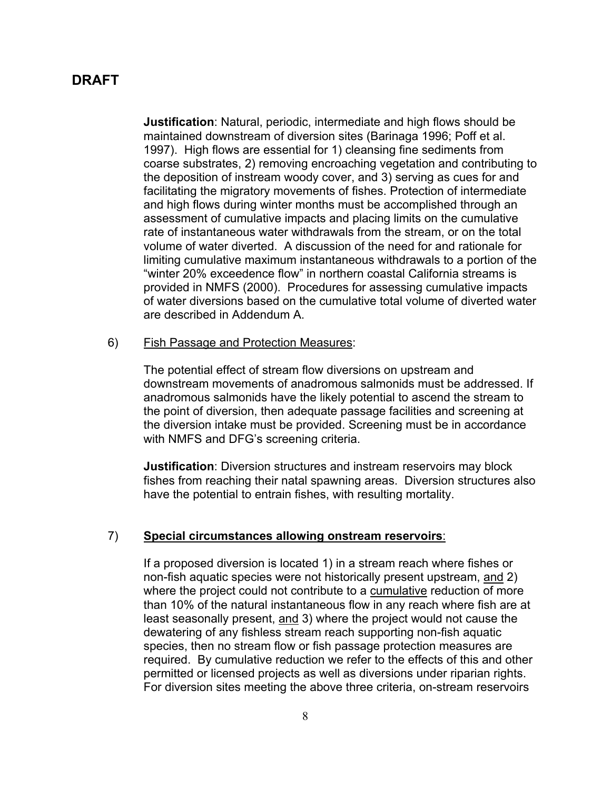**Justification**: Natural, periodic, intermediate and high flows should be maintained downstream of diversion sites (Barinaga 1996; Poff et al. 1997). High flows are essential for 1) cleansing fine sediments from coarse substrates, 2) removing encroaching vegetation and contributing to the deposition of instream woody cover, and 3) serving as cues for and facilitating the migratory movements of fishes. Protection of intermediate and high flows during winter months must be accomplished through an assessment of cumulative impacts and placing limits on the cumulative rate of instantaneous water withdrawals from the stream, or on the total volume of water diverted. A discussion of the need for and rationale for limiting cumulative maximum instantaneous withdrawals to a portion of the "winter 20% exceedence flow" in northern coastal California streams is provided in NMFS (2000). Procedures for assessing cumulative impacts of water diversions based on the cumulative total volume of diverted water are described in Addendum A.

#### 6) Fish Passage and Protection Measures:

The potential effect of stream flow diversions on upstream and downstream movements of anadromous salmonids must be addressed. If anadromous salmonids have the likely potential to ascend the stream to the point of diversion, then adequate passage facilities and screening at the diversion intake must be provided. Screening must be in accordance with NMFS and DFG's screening criteria.

**Justification**: Diversion structures and instream reservoirs may block fishes from reaching their natal spawning areas.Diversion structures also have the potential to entrain fishes, with resulting mortality.

#### 7) **Special circumstances allowing onstream reservoirs**:

If a proposed diversion is located 1) in a stream reach where fishes or non-fish aquatic species were not historically present upstream, and 2) where the project could not contribute to a cumulative reduction of more than 10% of the natural instantaneous flow in any reach where fish are at least seasonally present, and 3) where the project would not cause the dewatering of any fishless stream reach supporting non-fish aquatic species, then no stream flow or fish passage protection measures are required. By cumulative reduction we refer to the effects of this and other permitted or licensed projects as well as diversions under riparian rights. For diversion sites meeting the above three criteria, on-stream reservoirs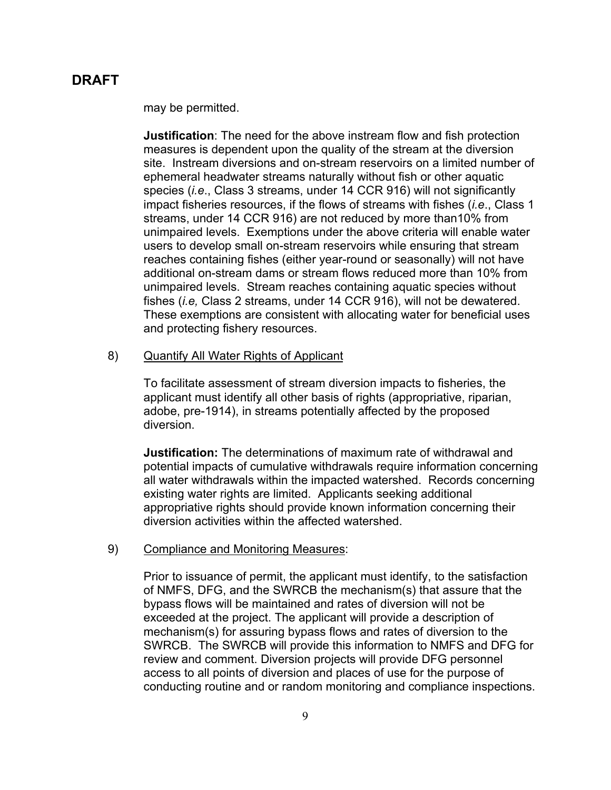may be permitted.

**Justification**: The need for the above instream flow and fish protection measures is dependent upon the quality of the stream at the diversion site. Instream diversions and on-stream reservoirs on a limited number of ephemeral headwater streams naturally without fish or other aquatic species (*i.e*., Class 3 streams, under 14 CCR 916) will not significantly impact fisheries resources, if the flows of streams with fishes (*i.e*., Class 1 streams, under 14 CCR 916) are not reduced by more than10% from unimpaired levels. Exemptions under the above criteria will enable water users to develop small on-stream reservoirs while ensuring that stream reaches containing fishes (either year-round or seasonally) will not have additional on-stream dams or stream flows reduced more than 10% from unimpaired levels. Stream reaches containing aquatic species without fishes (*i.e,* Class 2 streams, under 14 CCR 916), will not be dewatered. These exemptions are consistent with allocating water for beneficial uses and protecting fishery resources.

#### 8) Quantify All Water Rights of Applicant

To facilitate assessment of stream diversion impacts to fisheries, the applicant must identify all other basis of rights (appropriative, riparian, adobe, pre-1914), in streams potentially affected by the proposed diversion.

**Justification:** The determinations of maximum rate of withdrawal and potential impacts of cumulative withdrawals require information concerning all water withdrawals within the impacted watershed. Records concerning existing water rights are limited. Applicants seeking additional appropriative rights should provide known information concerning their diversion activities within the affected watershed.

#### 9) Compliance and Monitoring Measures:

Prior to issuance of permit, the applicant must identify, to the satisfaction of NMFS, DFG, and the SWRCB the mechanism(s) that assure that the bypass flows will be maintained and rates of diversion will not be exceeded at the project. The applicant will provide a description of mechanism(s) for assuring bypass flows and rates of diversion to the SWRCB. The SWRCB will provide this information to NMFS and DFG for review and comment. Diversion projects will provide DFG personnel access to all points of diversion and places of use for the purpose of conducting routine and or random monitoring and compliance inspections.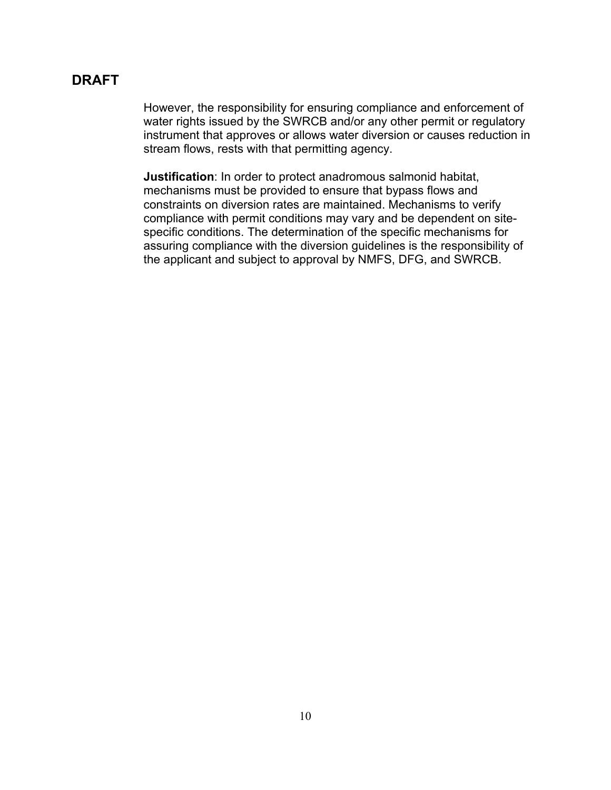However, the responsibility for ensuring compliance and enforcement of water rights issued by the SWRCB and/or any other permit or regulatory instrument that approves or allows water diversion or causes reduction in stream flows, rests with that permitting agency.

**Justification**: In order to protect anadromous salmonid habitat, mechanisms must be provided to ensure that bypass flows and constraints on diversion rates are maintained. Mechanisms to verify compliance with permit conditions may vary and be dependent on sitespecific conditions. The determination of the specific mechanisms for assuring compliance with the diversion guidelines is the responsibility of the applicant and subject to approval by NMFS, DFG, and SWRCB.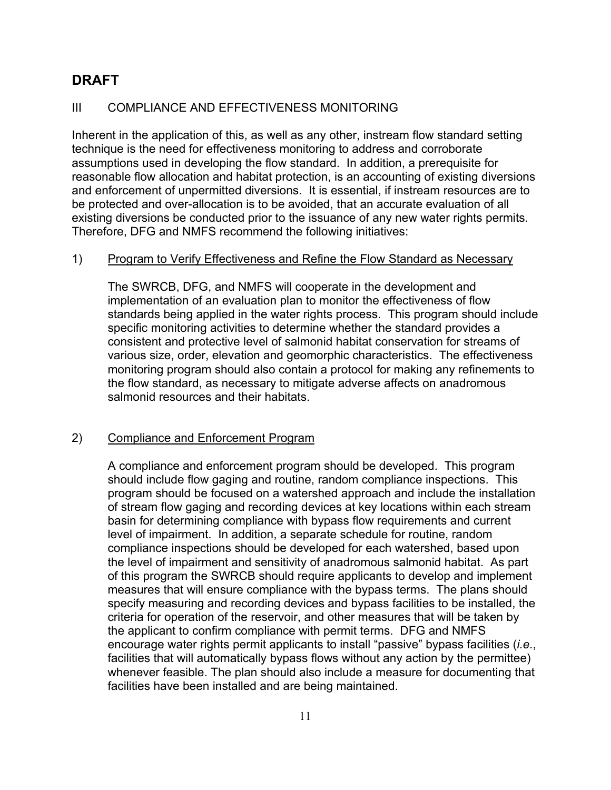### III COMPLIANCE AND EFFECTIVENESS MONITORING

Inherent in the application of this, as well as any other, instream flow standard setting technique is the need for effectiveness monitoring to address and corroborate assumptions used in developing the flow standard. In addition, a prerequisite for reasonable flow allocation and habitat protection, is an accounting of existing diversions and enforcement of unpermitted diversions. It is essential, if instream resources are to be protected and over-allocation is to be avoided, that an accurate evaluation of all existing diversions be conducted prior to the issuance of any new water rights permits. Therefore, DFG and NMFS recommend the following initiatives:

### 1) Program to Verify Effectiveness and Refine the Flow Standard as Necessary

The SWRCB, DFG, and NMFS will cooperate in the development and implementation of an evaluation plan to monitor the effectiveness of flow standards being applied in the water rights process. This program should include specific monitoring activities to determine whether the standard provides a consistent and protective level of salmonid habitat conservation for streams of various size, order, elevation and geomorphic characteristics. The effectiveness monitoring program should also contain a protocol for making any refinements to the flow standard, as necessary to mitigate adverse affects on anadromous salmonid resources and their habitats.

### 2) Compliance and Enforcement Program

A compliance and enforcement program should be developed. This program should include flow gaging and routine, random compliance inspections. This program should be focused on a watershed approach and include the installation of stream flow gaging and recording devices at key locations within each stream basin for determining compliance with bypass flow requirements and current level of impairment. In addition, a separate schedule for routine, random compliance inspections should be developed for each watershed, based upon the level of impairment and sensitivity of anadromous salmonid habitat. As part of this program the SWRCB should require applicants to develop and implement measures that will ensure compliance with the bypass terms. The plans should specify measuring and recording devices and bypass facilities to be installed, the criteria for operation of the reservoir, and other measures that will be taken by the applicant to confirm compliance with permit terms. DFG and NMFS encourage water rights permit applicants to install "passive" bypass facilities (*i.e*., facilities that will automatically bypass flows without any action by the permittee) whenever feasible. The plan should also include a measure for documenting that facilities have been installed and are being maintained.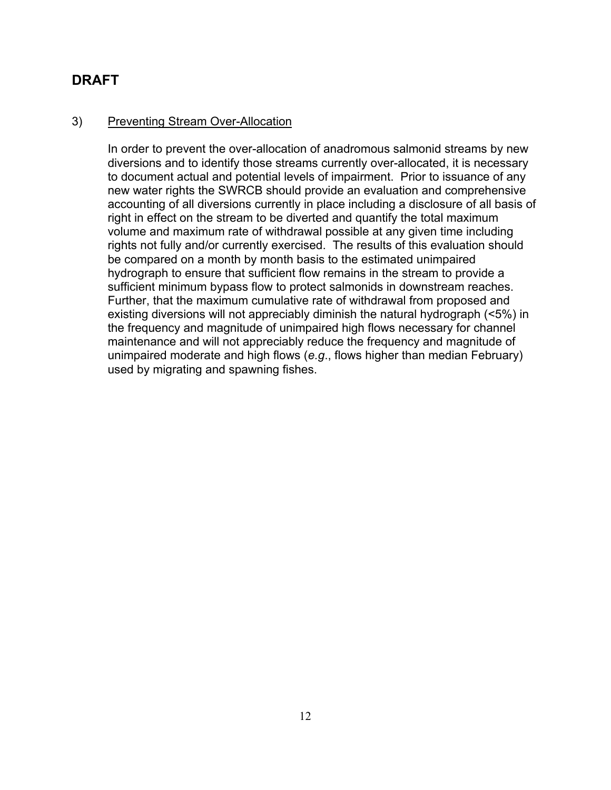### 3) Preventing Stream Over-Allocation

In order to prevent the over-allocation of anadromous salmonid streams by new diversions and to identify those streams currently over-allocated, it is necessary to document actual and potential levels of impairment. Prior to issuance of any new water rights the SWRCB should provide an evaluation and comprehensive accounting of all diversions currently in place including a disclosure of all basis of right in effect on the stream to be diverted and quantify the total maximum volume and maximum rate of withdrawal possible at any given time including rights not fully and/or currently exercised. The results of this evaluation should be compared on a month by month basis to the estimated unimpaired hydrograph to ensure that sufficient flow remains in the stream to provide a sufficient minimum bypass flow to protect salmonids in downstream reaches. Further, that the maximum cumulative rate of withdrawal from proposed and existing diversions will not appreciably diminish the natural hydrograph (<5%) in the frequency and magnitude of unimpaired high flows necessary for channel maintenance and will not appreciably reduce the frequency and magnitude of unimpaired moderate and high flows (*e.g*., flows higher than median February) used by migrating and spawning fishes.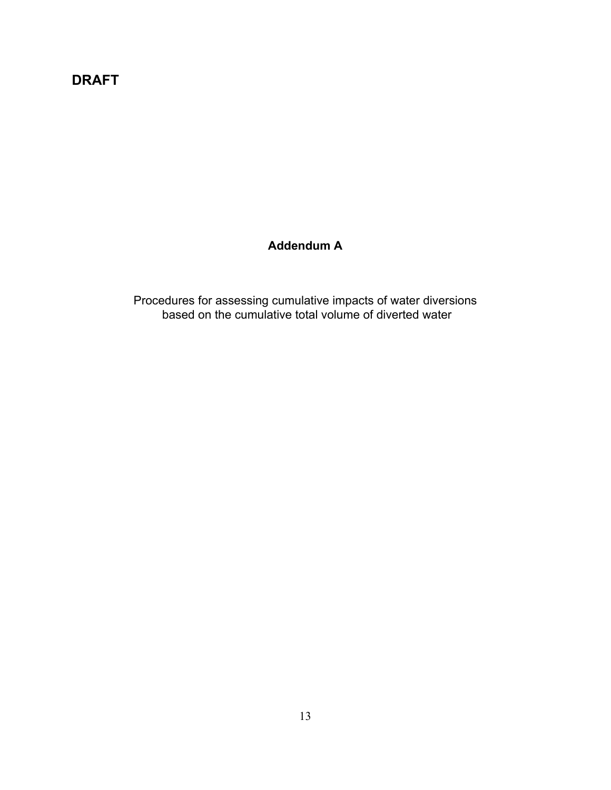# **Addendum A**

Procedures for assessing cumulative impacts of water diversions based on the cumulative total volume of diverted water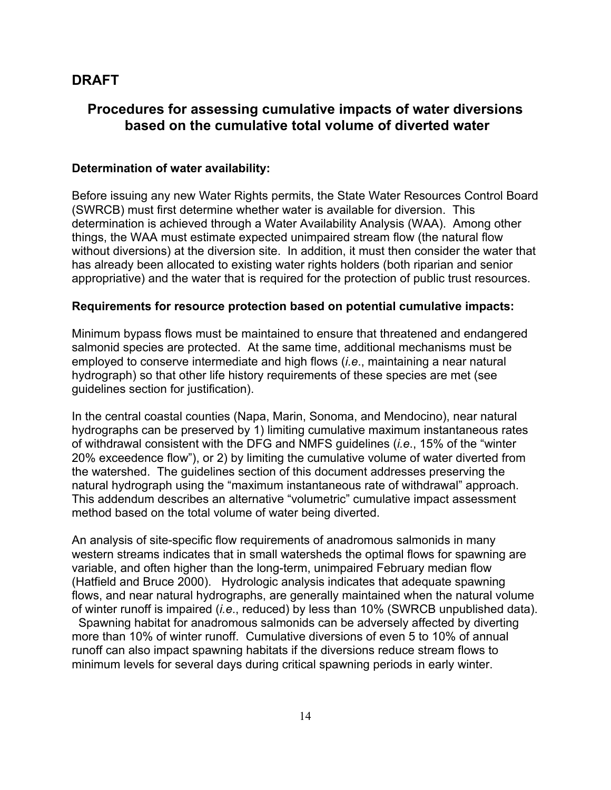# **Procedures for assessing cumulative impacts of water diversions based on the cumulative total volume of diverted water**

#### **Determination of water availability:**

Before issuing any new Water Rights permits, the State Water Resources Control Board (SWRCB) must first determine whether water is available for diversion. This determination is achieved through a Water Availability Analysis (WAA). Among other things, the WAA must estimate expected unimpaired stream flow (the natural flow without diversions) at the diversion site. In addition, it must then consider the water that has already been allocated to existing water rights holders (both riparian and senior appropriative) and the water that is required for the protection of public trust resources.

#### **Requirements for resource protection based on potential cumulative impacts:**

Minimum bypass flows must be maintained to ensure that threatened and endangered salmonid species are protected. At the same time, additional mechanisms must be employed to conserve intermediate and high flows (*i.e*., maintaining a near natural hydrograph) so that other life history requirements of these species are met (see guidelines section for justification).

In the central coastal counties (Napa, Marin, Sonoma, and Mendocino), near natural hydrographs can be preserved by 1) limiting cumulative maximum instantaneous rates of withdrawal consistent with the DFG and NMFS guidelines (*i.e*., 15% of the "winter 20% exceedence flow"), or 2) by limiting the cumulative volume of water diverted from the watershed. The guidelines section of this document addresses preserving the natural hydrograph using the "maximum instantaneous rate of withdrawal" approach. This addendum describes an alternative "volumetric" cumulative impact assessment method based on the total volume of water being diverted.

An analysis of site-specific flow requirements of anadromous salmonids in many western streams indicates that in small watersheds the optimal flows for spawning are variable, and often higher than the long-term, unimpaired February median flow (Hatfield and Bruce 2000). Hydrologic analysis indicates that adequate spawning flows, and near natural hydrographs, are generally maintained when the natural volume of winter runoff is impaired (*i.e*., reduced) by less than 10% (SWRCB unpublished data).

 Spawning habitat for anadromous salmonids can be adversely affected by diverting more than 10% of winter runoff. Cumulative diversions of even 5 to 10% of annual runoff can also impact spawning habitats if the diversions reduce stream flows to minimum levels for several days during critical spawning periods in early winter.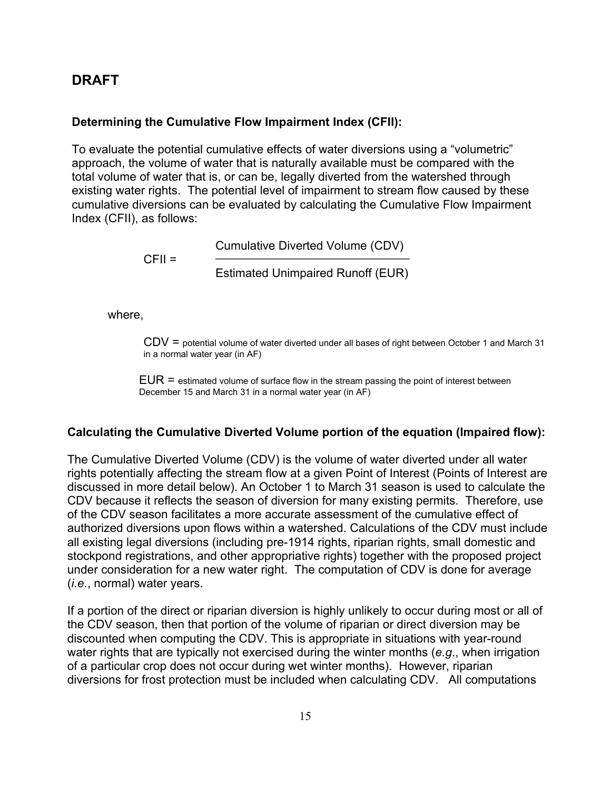#### **Determining the Cumulative Flow Impairment Index (CFII):**

To evaluate the potential cumulative effects of water diversions using a "volumetric" approach, the volume of water that is naturally available must be compared with the total volume of water that is, or can be, legally diverted from the watershed through existing water rights. The potential level of impairment to stream flow caused by these cumulative diversions can be evaluated by calculating the Cumulative Flow Impairment Index (CFII), as follows:

> Cumulative Diverted Volume (CDV)  $CFI =$ Estimated Unimpaired Runoff (EUR)

where,

CDV = potential volume of water diverted under all bases of right between October 1 and March 31 in a normal water year (in AF)

 $EUR =$  estimated volume of surface flow in the stream passing the point of interest between December 15 and March 31 in a normal water year (in AF)

#### **Calculating the Cumulative Diverted Volume portion of the equation (Impaired flow):**

The Cumulative Diverted Volume (CDV) is the volume of water diverted under all water rights potentially affecting the stream flow at a given Point of Interest (Points of Interest are discussed in more detail below). An October 1 to March 31 season is used to calculate the CDV because it reflects the season of diversion for many existing permits. Therefore, use of the CDV season facilitates a more accurate assessment of the cumulative effect of authorized diversions upon flows within a watershed. Calculations of the CDV must include all existing legal diversions (including pre-1914 rights, riparian rights, small domestic and stockpond registrations, and other appropriative rights) together with the proposed project under consideration for a new water right. The computation of CDV is done for average (*i.e*., normal) water years.

If a portion of the direct or riparian diversion is highly unlikely to occur during most or all of the CDV season, then that portion of the volume of riparian or direct diversion may be discounted when computing the CDV. This is appropriate in situations with year-round water rights that are typically not exercised during the winter months (*e.g*., when irrigation of a particular crop does not occur during wet winter months). However, riparian diversions for frost protection must be included when calculating CDV. All computations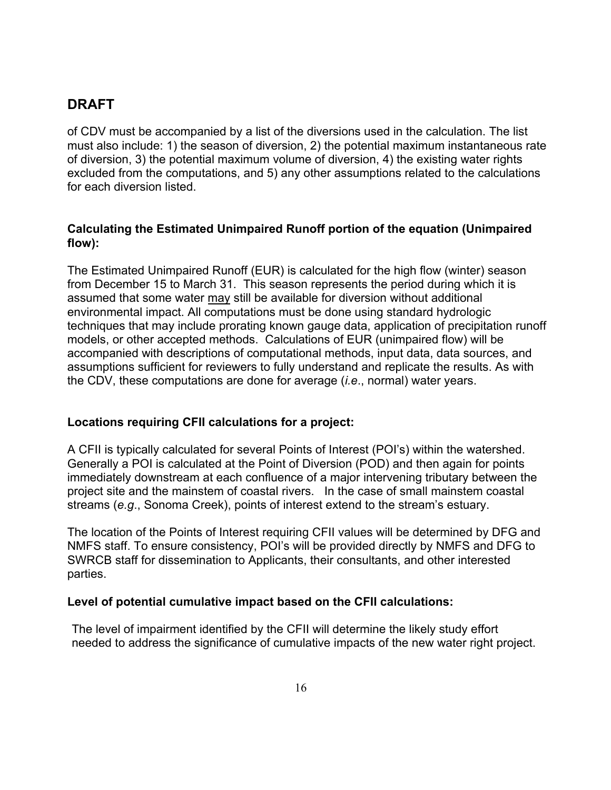of CDV must be accompanied by a list of the diversions used in the calculation. The list must also include: 1) the season of diversion, 2) the potential maximum instantaneous rate of diversion, 3) the potential maximum volume of diversion, 4) the existing water rights excluded from the computations, and 5) any other assumptions related to the calculations for each diversion listed.

### **Calculating the Estimated Unimpaired Runoff portion of the equation (Unimpaired flow):**

The Estimated Unimpaired Runoff (EUR) is calculated for the high flow (winter) season from December 15 to March 31. This season represents the period during which it is assumed that some water may still be available for diversion without additional environmental impact. All computations must be done using standard hydrologic techniques that may include prorating known gauge data, application of precipitation runoff models, or other accepted methods. Calculations of EUR (unimpaired flow) will be accompanied with descriptions of computational methods, input data, data sources, and assumptions sufficient for reviewers to fully understand and replicate the results. As with the CDV, these computations are done for average (*i.e*., normal) water years.

## **Locations requiring CFII calculations for a project:**

A CFII is typically calculated for several Points of Interest (POI's) within the watershed. Generally a POI is calculated at the Point of Diversion (POD) and then again for points immediately downstream at each confluence of a major intervening tributary between the project site and the mainstem of coastal rivers. In the case of small mainstem coastal streams (*e.g*., Sonoma Creek), points of interest extend to the stream's estuary.

The location of the Points of Interest requiring CFII values will be determined by DFG and NMFS staff. To ensure consistency, POI's will be provided directly by NMFS and DFG to SWRCB staff for dissemination to Applicants, their consultants, and other interested parties.

### **Level of potential cumulative impact based on the CFII calculations:**

The level of impairment identified by the CFII will determine the likely study effort needed to address the significance of cumulative impacts of the new water right project.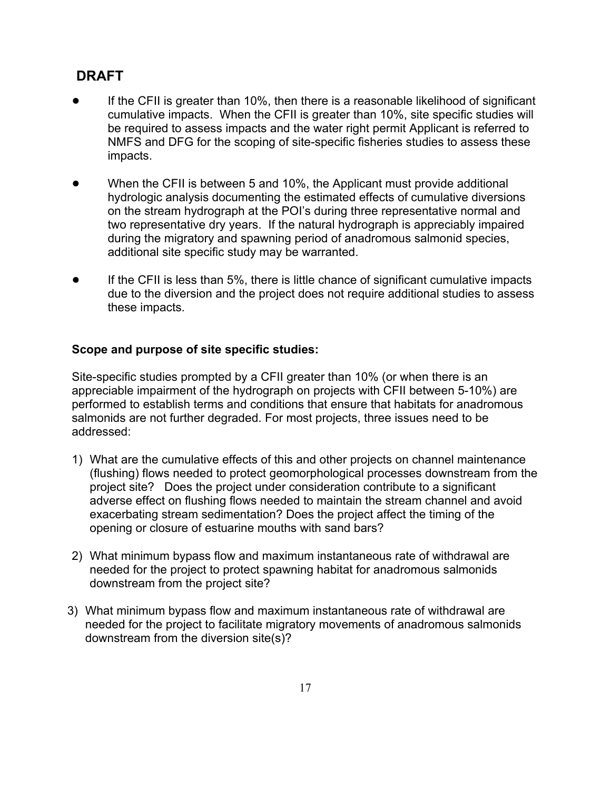- If the CFII is greater than 10%, then there is a reasonable likelihood of significant cumulative impacts. When the CFII is greater than 10%, site specific studies will be required to assess impacts and the water right permit Applicant is referred to NMFS and DFG for the scoping of site-specific fisheries studies to assess these impacts.
- When the CFII is between 5 and 10%, the Applicant must provide additional hydrologic analysis documenting the estimated effects of cumulative diversions on the stream hydrograph at the POI's during three representative normal and two representative dry years. If the natural hydrograph is appreciably impaired during the migratory and spawning period of anadromous salmonid species, additional site specific study may be warranted.
- If the CFII is less than 5%, there is little chance of significant cumulative impacts due to the diversion and the project does not require additional studies to assess these impacts.

### **Scope and purpose of site specific studies:**

Site-specific studies prompted by a CFII greater than 10% (or when there is an appreciable impairment of the hydrograph on projects with CFII between 5-10%) are performed to establish terms and conditions that ensure that habitats for anadromous salmonids are not further degraded. For most projects, three issues need to be addressed:

- 1) What are the cumulative effects of this and other projects on channel maintenance (flushing) flows needed to protect geomorphological processes downstream from the project site? Does the project under consideration contribute to a significant adverse effect on flushing flows needed to maintain the stream channel and avoid exacerbating stream sedimentation? Does the project affect the timing of the opening or closure of estuarine mouths with sand bars?
- 2) What minimum bypass flow and maximum instantaneous rate of withdrawal are needed for the project to protect spawning habitat for anadromous salmonids downstream from the project site?
- 3) What minimum bypass flow and maximum instantaneous rate of withdrawal are needed for the project to facilitate migratory movements of anadromous salmonids downstream from the diversion site(s)?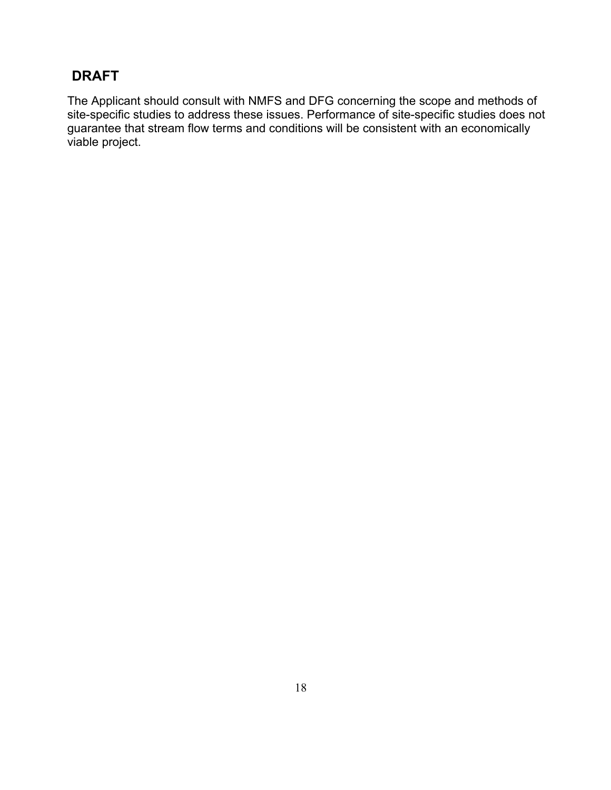The Applicant should consult with NMFS and DFG concerning the scope and methods of site-specific studies to address these issues. Performance of site-specific studies does not guarantee that stream flow terms and conditions will be consistent with an economically viable project.